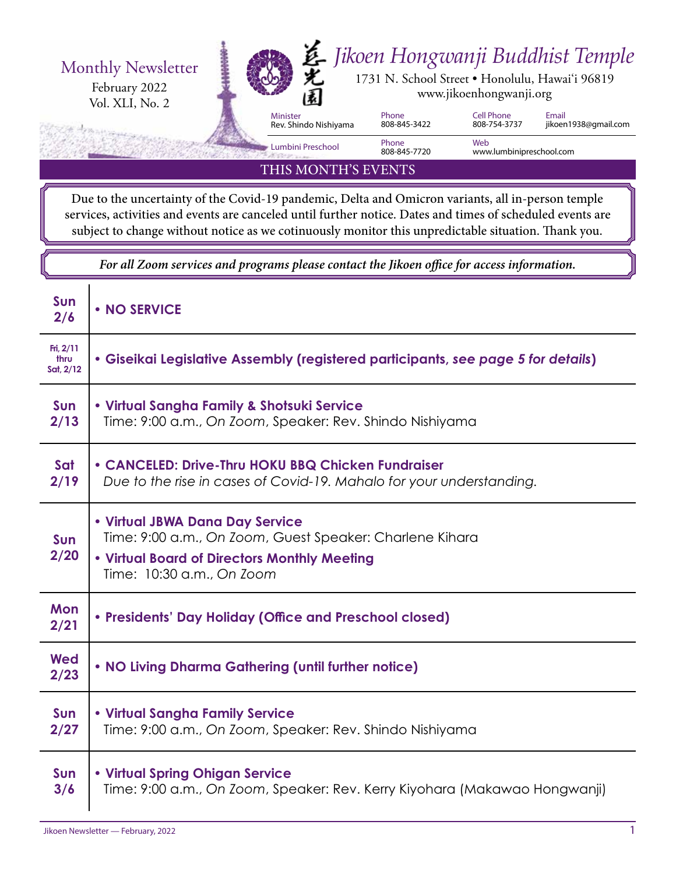

THIS MONTH'S EVENTS

Due to the uncertainty of the Covid-19 pandemic, Delta and Omicron variants, all in-person temple services, activities and events are canceled until further notice. Dates and times of scheduled events are subject to change without notice as we cotinuously monitor this unpredictable situation. Thank you.

*For all Zoom services and programs please contact the Jikoen office for access information.*

| Sun<br>2/6                       | • NO SERVICE                                                                                                                                                             |
|----------------------------------|--------------------------------------------------------------------------------------------------------------------------------------------------------------------------|
| Fri, $2/11$<br>thru<br>Sat, 2/12 | • Giseikai Legislative Assembly (registered participants, see page 5 for details)                                                                                        |
| <b>Sun</b><br>2/13               | • Virtual Sangha Family & Shotsuki Service<br>Time: 9:00 a.m., On Zoom, Speaker: Rev. Shindo Nishiyama                                                                   |
| Sat<br>2/19                      | • CANCELED: Drive-Thru HOKU BBQ Chicken Fundraiser<br>Due to the rise in cases of Covid-19. Mahalo for your understanding.                                               |
| <b>Sun</b><br>2/20               | • Virtual JBWA Dana Day Service<br>Time: 9:00 a.m., On Zoom, Guest Speaker: Charlene Kihara<br>. Virtual Board of Directors Monthly Meeting<br>Time: 10:30 a.m., On Zoom |
| Mon<br>2/21                      | • Presidents' Day Holiday (Office and Preschool closed)                                                                                                                  |
| Wed<br>2/23                      | . NO Living Dharma Gathering (until further notice)                                                                                                                      |
| <b>Sun</b><br>2/27               | • Virtual Sangha Family Service<br>Time: 9:00 a.m., On Zoom, Speaker: Rev. Shindo Nishiyama                                                                              |
| <b>Sun</b><br>3/6                | • Virtual Spring Ohigan Service<br>Time: 9:00 a.m., On Zoom, Speaker: Rev. Kerry Kiyohara (Makawao Hongwanji)                                                            |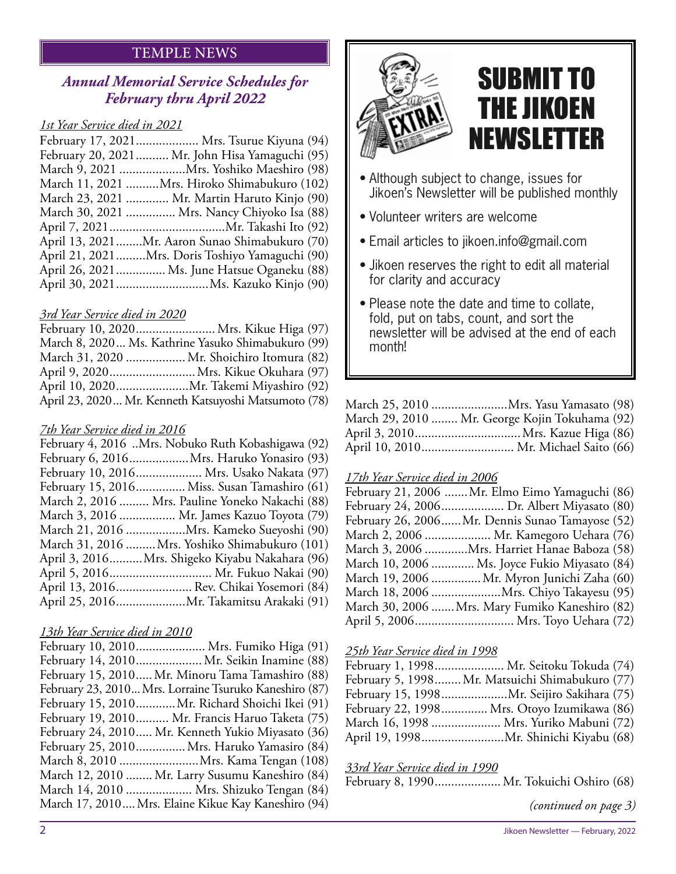#### TEMPLE NEWS

#### *Annual Memorial Service Schedules for February thru April 2022*

#### *1st Year Service died in 2021*

| February 17, 2021 Mrs. Tsurue Kiyuna (94)       |
|-------------------------------------------------|
| February 20, 2021  Mr. John Hisa Yamaguchi (95) |
| March 9, 2021  Mrs. Yoshiko Maeshiro (98)       |
| March 11, 2021 Mrs. Hiroko Shimabukuro (102)    |
| March 23, 2021  Mr. Martin Haruto Kinjo (90)    |
| March 30, 2021  Mrs. Nancy Chiyoko Isa (88)     |
|                                                 |
| April 13, 2021Mr. Aaron Sunao Shimabukuro (70)  |
| April 21, 2021Mrs. Doris Toshiyo Yamaguchi (90) |
| April 26, 2021 Ms. June Hatsue Oganeku (88)     |
|                                                 |

#### *3rd Year Service died in 2020*

| February 10, 2020 Mrs. Kikue Higa (97)               |  |
|------------------------------------------------------|--|
| March 8, 2020 Ms. Kathrine Yasuko Shimabukuro (99)   |  |
| March 31, 2020  Mr. Shoichiro Itomura (82)           |  |
| April 9, 2020 Mrs. Kikue Okuhara (97)                |  |
|                                                      |  |
| April 23, 2020 Mr. Kenneth Katsuyoshi Matsumoto (78) |  |

#### *7th Year Service died in 2016*

| February 4, 2016 Mrs. Nobuko Ruth Kobashigawa (92) |
|----------------------------------------------------|
| February 6, 2016 Mrs. Haruko Yonasiro (93)         |
| February 10, 2016 Mrs. Usako Nakata (97)           |
| February 15, 2016 Miss. Susan Tamashiro (61)       |
| March 2, 2016  Mrs. Pauline Yoneko Nakachi (88)    |
| March 3, 2016  Mr. James Kazuo Toyota (79)         |
| March 21, 2016 Mrs. Kameko Sueyoshi (90)           |
| March 31, 2016  Mrs. Yoshiko Shimabukuro (101)     |
| April 3, 2016Mrs. Shigeko Kiyabu Nakahara (96)     |
| April 5, 2016 Mr. Fukuo Nakai (90)                 |
| April 13, 2016 Rev. Chikai Yosemori (84)           |
|                                                    |
|                                                    |

#### *13th Year Service died in 2010*



## SUBMIT TO THE JIKOEN NEWSLETTER

- Although subject to change, issues for Jikoen's Newsletter will be published monthly
- Volunteer writers are welcome
- Email articles to jikoen.info@gmail.com
- Jikoen reserves the right to edit all material for clarity and accuracy
- Please note the date and time to collate, fold, put on tabs, count, and sort the newsletter will be advised at the end of each month!

| March 25, 2010 Mrs. Yasu Yamasato (98)         |
|------------------------------------------------|
| March 29, 2010  Mr. George Kojin Tokuhama (92) |
|                                                |
| April 10, 2010 Mr. Michael Saito (66)          |

#### *17th Year Service died in 2006*

| February 21, 2006 Mr. Elmo Eimo Yamaguchi (86)  |  |
|-------------------------------------------------|--|
| February 24, 2006 Dr. Albert Miyasato (80)      |  |
| February 26, 2006Mr. Dennis Sunao Tamayose (52) |  |
| March 2, 2006  Mr. Kamegoro Uehara (76)         |  |
| March 3, 2006 Mrs. Harriet Hanae Baboza (58)    |  |
| March 10, 2006  Ms. Joyce Fukio Miyasato (84)   |  |
| March 19, 2006 Mr. Myron Junichi Zaha (60)      |  |
| March 18, 2006 Mrs. Chiyo Takayesu (95)         |  |
| March 30, 2006 Mrs. Mary Fumiko Kaneshiro (82)  |  |
| April 5, 2006 Mrs. Toyo Uehara (72)             |  |

#### *25th Year Service died in 1998*

| February 1, 1998 Mr. Seitoku Tokuda (74)        |
|-------------------------------------------------|
| February 5, 1998 Mr. Matsuichi Shimabukuro (77) |
| February 15, 1998Mr. Seijiro Sakihara (75)      |
| February 22, 1998 Mrs. Otoyo Izumikawa (86)     |
| March 16, 1998  Mrs. Yuriko Mabuni (72)         |
| April 19, 1998Mr. Shinichi Kiyabu (68)          |

#### *33rd Year Service died in 1990*

February 8, 1990.................... Mr. Tokuichi Oshiro (68)

*(continued on page 3)*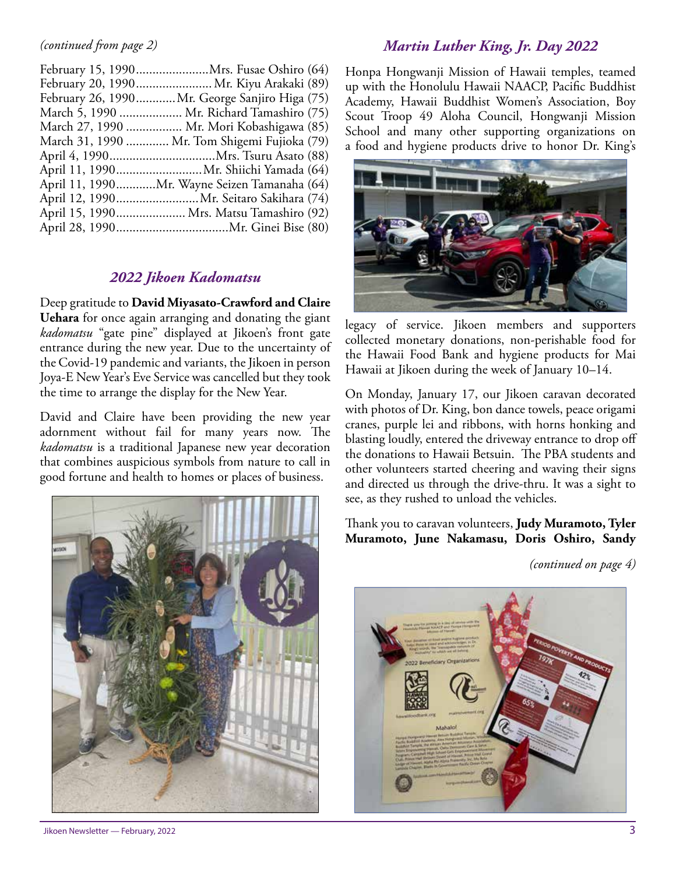#### *(continued from page 2)*

| February 20, 1990 Mr. Kiyu Arakaki (89)        |
|------------------------------------------------|
| February 26, 1990 Mr. George Sanjiro Higa (75) |
| March 5, 1990  Mr. Richard Tamashiro (75)      |
| March 27, 1990  Mr. Mori Kobashigawa (85)      |
| March 31, 1990  Mr. Tom Shigemi Fujioka (79)   |
|                                                |
| April 11, 1990 Mr. Shiichi Yamada (64)         |
| April 11, 1990Mr. Wayne Seizen Tamanaha (64)   |
| April 12, 1990 Mr. Seitaro Sakihara (74)       |
| April 15, 1990 Mrs. Matsu Tamashiro (92)       |
|                                                |
|                                                |

#### *2022 Jikoen Kadomatsu*

Deep gratitude to **David Miyasato-Crawford and Claire Uehara** for once again arranging and donating the giant *kadomatsu* "gate pine" displayed at Jikoen's front gate entrance during the new year. Due to the uncertainty of the Covid-19 pandemic and variants, the Jikoen in person Joya-E New Year's Eve Service was cancelled but they took the time to arrange the display for the New Year.

David and Claire have been providing the new year adornment without fail for many years now. The *kadomatsu* is a traditional Japanese new year decoration that combines auspicious symbols from nature to call in good fortune and health to homes or places of business.



Jikoen Newsletter — February, 2022 3

#### *Martin Luther King, Jr. Day 2022*

Honpa Hongwanji Mission of Hawaii temples, teamed up with the Honolulu Hawaii NAACP, Pacific Buddhist Academy, Hawaii Buddhist Women's Association, Boy Scout Troop 49 Aloha Council, Hongwanji Mission School and many other supporting organizations on a food and hygiene products drive to honor Dr. King's



legacy of service. Jikoen members and supporters collected monetary donations, non-perishable food for the Hawaii Food Bank and hygiene products for Mai Hawaii at Jikoen during the week of January 10–14.

On Monday, January 17, our Jikoen caravan decorated with photos of Dr. King, bon dance towels, peace origami cranes, purple lei and ribbons, with horns honking and blasting loudly, entered the driveway entrance to drop off the donations to Hawaii Betsuin. The PBA students and other volunteers started cheering and waving their signs and directed us through the drive-thru. It was a sight to see, as they rushed to unload the vehicles.

Thank you to caravan volunteers, **Judy Muramoto, Tyler Muramoto, June Nakamasu, Doris Oshiro, Sandy** 

*(continued on page 4)*

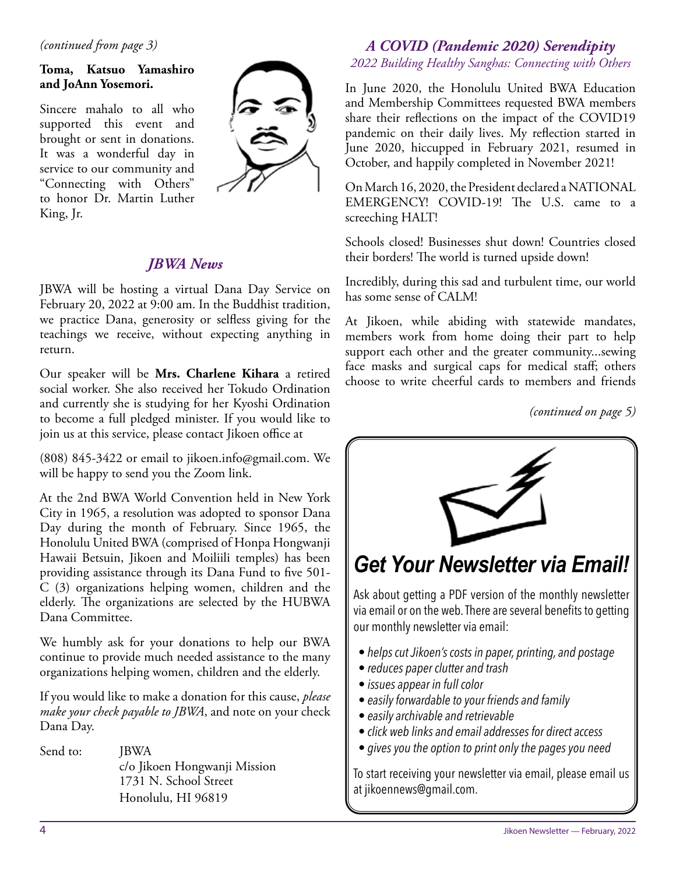#### *(continued from page 3)*

#### **Toma, Katsuo Yamashiro and JoAnn Yosemori.**

Sincere mahalo to all who supported this event and brought or sent in donations. It was a wonderful day in service to our community and "Connecting with Others" to honor Dr. Martin Luther King, Jr.



#### *JBWA News*

JBWA will be hosting a virtual Dana Day Service on February 20, 2022 at 9:00 am. In the Buddhist tradition, we practice Dana, generosity or selfless giving for the teachings we receive, without expecting anything in return.

Our speaker will be **Mrs. Charlene Kihara** a retired social worker. She also received her Tokudo Ordination and currently she is studying for her Kyoshi Ordination to become a full pledged minister. If you would like to join us at this service, please contact Jikoen office at

(808) 845-3422 or email to jikoen.info@gmail.com. We will be happy to send you the Zoom link.

At the 2nd BWA World Convention held in New York City in 1965, a resolution was adopted to sponsor Dana Day during the month of February. Since 1965, the Honolulu United BWA (comprised of Honpa Hongwanji Hawaii Betsuin, Jikoen and Moiliili temples) has been providing assistance through its Dana Fund to five 501- C (3) organizations helping women, children and the elderly. The organizations are selected by the HUBWA Dana Committee.

We humbly ask for your donations to help our BWA continue to provide much needed assistance to the many organizations helping women, children and the elderly.

If you would like to make a donation for this cause, *please make your check payable to JBWA*, and note on your check Dana Day.

Send to: **JBWA**  c/o Jikoen Hongwanji Mission 1731 N. School Street Honolulu, HI 96819

#### *A COVID (Pandemic 2020) Serendipity 2022 Building Healthy Sanghas: Connecting with Others*

In June 2020, the Honolulu United BWA Education and Membership Committees requested BWA members share their reflections on the impact of the COVID19 pandemic on their daily lives. My reflection started in June 2020, hiccupped in February 2021, resumed in October, and happily completed in November 2021!

On March 16, 2020, the President declared a NATIONAL EMERGENCY! COVID-19! The U.S. came to a screeching HALT!

Schools closed! Businesses shut down! Countries closed their borders! The world is turned upside down!

Incredibly, during this sad and turbulent time, our world has some sense of CALM!

At Jikoen, while abiding with statewide mandates, members work from home doing their part to help support each other and the greater community...sewing face masks and surgical caps for medical staff; others choose to write cheerful cards to members and friends

*(continued on page 5)*



via email or on the web. There are several benefits to getting our monthly newsletter via email:

- *helps cut Jikoen's costs in paper, printing, and postage*
- *reduces paper clutter and trash*
- *issues appear in full color*
- *easily forwardable to your friends and family*
- *easily archivable and retrievable*
- *click web links and email addresses for direct access*
- *gives you the option to print only the pages you need*

To start receiving your newsletter via email, please email us at jikoennews@gmail.com.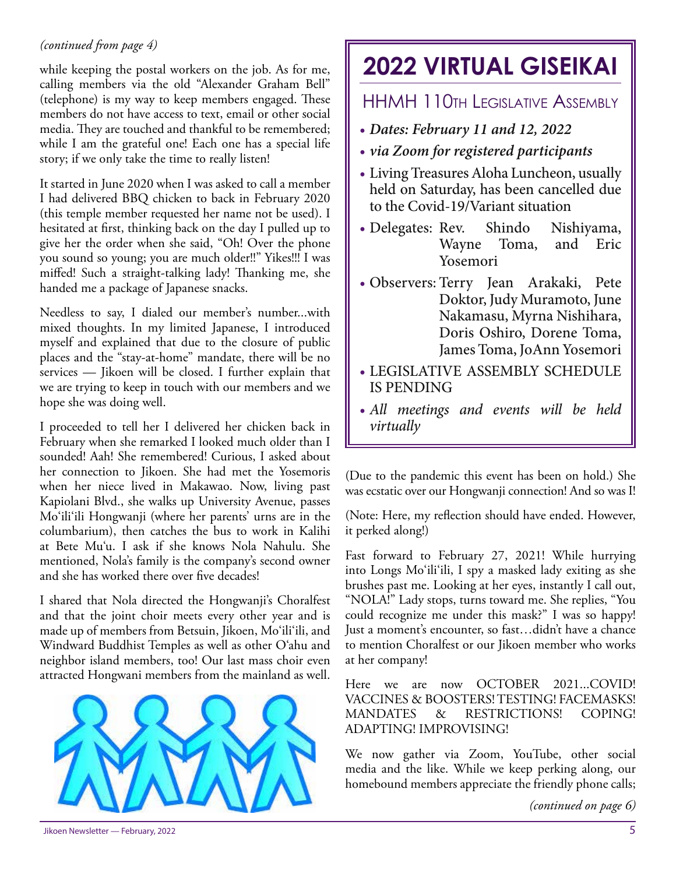#### *(continued from page 4)*

while keeping the postal workers on the job. As for me, calling members via the old "Alexander Graham Bell" (telephone) is my way to keep members engaged. These members do not have access to text, email or other social media. They are touched and thankful to be remembered; while I am the grateful one! Each one has a special life story; if we only take the time to really listen!

It started in June 2020 when I was asked to call a member I had delivered BBQ chicken to back in February 2020 (this temple member requested her name not be used). I hesitated at first, thinking back on the day I pulled up to give her the order when she said, "Oh! Over the phone you sound so young; you are much older!!" Yikes!!! I was miffed! Such a straight-talking lady! Thanking me, she handed me a package of Japanese snacks.

Needless to say, I dialed our member's number...with mixed thoughts. In my limited Japanese, I introduced myself and explained that due to the closure of public places and the "stay-at-home" mandate, there will be no services — Jikoen will be closed. I further explain that we are trying to keep in touch with our members and we hope she was doing well.

I proceeded to tell her I delivered her chicken back in February when she remarked I looked much older than I sounded! Aah! She remembered! Curious, I asked about her connection to Jikoen. She had met the Yosemoris when her niece lived in Makawao. Now, living past Kapiolani Blvd., she walks up University Avenue, passes Mo'ili'ili Hongwanji (where her parents' urns are in the columbarium), then catches the bus to work in Kalihi at Bete Mu'u. I ask if she knows Nola Nahulu. She mentioned, Nola's family is the company's second owner and she has worked there over five decades!

I shared that Nola directed the Hongwanji's Choralfest and that the joint choir meets every other year and is made up of members from Betsuin, Jikoen, Mo'ili'ili, and Windward Buddhist Temples as well as other O'ahu and neighbor island members, too! Our last mass choir even attracted Hongwani members from the mainland as well.



### **2022 VIRTUAL GISEIKAI**

#### HHMH 110th Legislative Assembly

- *Dates: February 11 and 12, 2022*
- *via Zoom for registered participants*
- Living Treasures Aloha Luncheon, usually held on Saturday, has been cancelled due to the Covid-19/Variant situation
- Delegates: Rev. Shindo Nishiyama, Wayne Toma, and Eric Yosemori
- Observers: Terry Jean Arakaki, Pete Doktor, Judy Muramoto, June Nakamasu, Myrna Nishihara, Doris Oshiro, Dorene Toma, James Toma, JoAnn Yosemori
- LEGISLATIVE ASSEMBLY SCHEDULE IS PENDING
- *All meetings and events will be held virtually*

(Due to the pandemic this event has been on hold.) She was ecstatic over our Hongwanji connection! And so was I!

(Note: Here, my reflection should have ended. However, it perked along!)

Fast forward to February 27, 2021! While hurrying into Longs Mo'ili'ili, I spy a masked lady exiting as she brushes past me. Looking at her eyes, instantly I call out, "NOLA!" Lady stops, turns toward me. She replies, "You could recognize me under this mask?" I was so happy! Just a moment's encounter, so fast…didn't have a chance to mention Choralfest or our Jikoen member who works at her company!

Here we are now OCTOBER 2021...COVID! VACCINES & BOOSTERS! TESTING! FACEMASKS! MANDATES & RESTRICTIONS! COPING! ADAPTING! IMPROVISING!

We now gather via Zoom, YouTube, other social media and the like. While we keep perking along, our homebound members appreciate the friendly phone calls;

*(continued on page 6)*

Jikoen Newsletter — February, 2022 5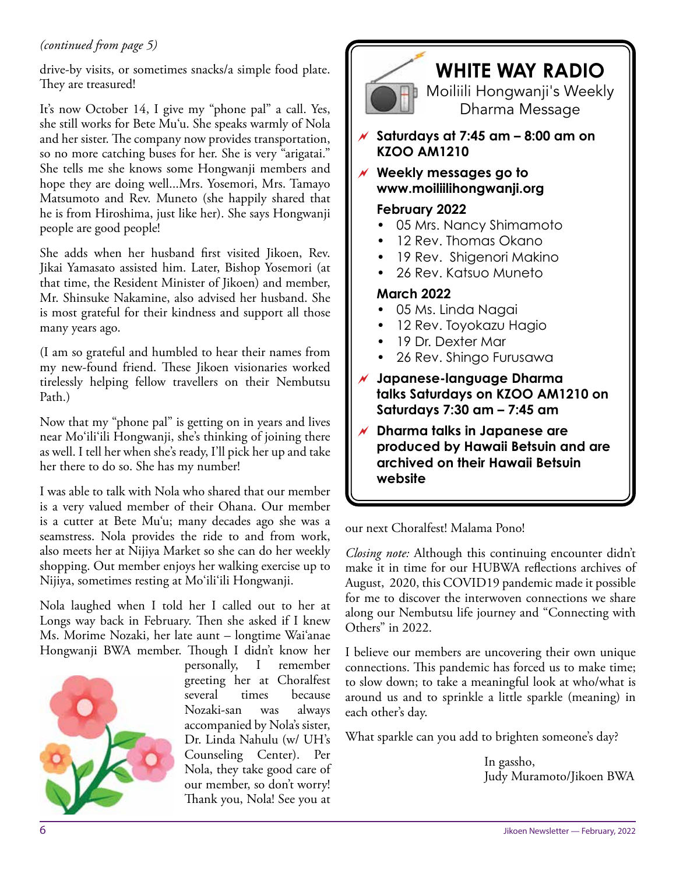#### *(continued from page 5)*

drive-by visits, or sometimes snacks/a simple food plate. They are treasured!

It's now October 14, I give my "phone pal" a call. Yes, she still works for Bete Mu'u. She speaks warmly of Nola and her sister. The company now provides transportation, so no more catching buses for her. She is very "arigatai." She tells me she knows some Hongwanji members and hope they are doing well...Mrs. Yosemori, Mrs. Tamayo Matsumoto and Rev. Muneto (she happily shared that he is from Hiroshima, just like her). She says Hongwanji people are good people!

She adds when her husband first visited Jikoen, Rev. Jikai Yamasato assisted him. Later, Bishop Yosemori (at that time, the Resident Minister of Jikoen) and member, Mr. Shinsuke Nakamine, also advised her husband. She is most grateful for their kindness and support all those many years ago.

(I am so grateful and humbled to hear their names from my new-found friend. These Jikoen visionaries worked tirelessly helping fellow travellers on their Nembutsu Path.)

Now that my "phone pal" is getting on in years and lives near Mo'ili'ili Hongwanji, she's thinking of joining there as well. I tell her when she's ready, I'll pick her up and take her there to do so. She has my number!

I was able to talk with Nola who shared that our member is a very valued member of their Ohana. Our member is a cutter at Bete Mu'u; many decades ago she was a seamstress. Nola provides the ride to and from work, also meets her at Nijiya Market so she can do her weekly shopping. Out member enjoys her walking exercise up to Nijiya, sometimes resting at Mo'ili'ili Hongwanji.

Nola laughed when I told her I called out to her at Longs way back in February. Then she asked if I knew Ms. Morime Nozaki, her late aunt – longtime Wai'anae Hongwanji BWA member. Though I didn't know her



personally, I remember greeting her at Choralfest several times because Nozaki-san was always accompanied by Nola's sister, Dr. Linda Nahulu (w/ UH's Counseling Center). Per Nola, they take good care of our member, so don't worry! Thank you, Nola! See you at



### **WHITE WAY RADIO**

Moiliili Hongwanji's Weekly Dharma Message

 **Saturdays at 7:45 am – 8:00 am on KZOO AM1210**

 **Weekly messages go to www.moiliilihongwanji.org**

#### **February 2022**

- 05 Mrs. Nancy Shimamoto
- 12 Rev. Thomas Okano
- 19 Rev. Shigenori Makino
- 26 Rev. Katsuo Muneto

#### **March 2022**

- 05 Ms. Linda Nagai
- 12 Rev. Toyokazu Hagio
- 19 Dr. Dexter Mar
- 26 Rev. Shingo Furusawa
- **Japanese-language Dharma talks Saturdays on KZOO AM1210 on Saturdays 7:30 am – 7:45 am**
- **Dharma talks in Japanese are produced by Hawaii Betsuin and are archived on their Hawaii Betsuin website**

our next Choralfest! Malama Pono!

*Closing note:* Although this continuing encounter didn't make it in time for our HUBWA reflections archives of August, 2020, this COVID19 pandemic made it possible for me to discover the interwoven connections we share along our Nembutsu life journey and "Connecting with Others" in 2022.

I believe our members are uncovering their own unique connections. This pandemic has forced us to make time; to slow down; to take a meaningful look at who/what is around us and to sprinkle a little sparkle (meaning) in each other's day.

What sparkle can you add to brighten someone's day?

In gassho, Judy Muramoto/Jikoen BWA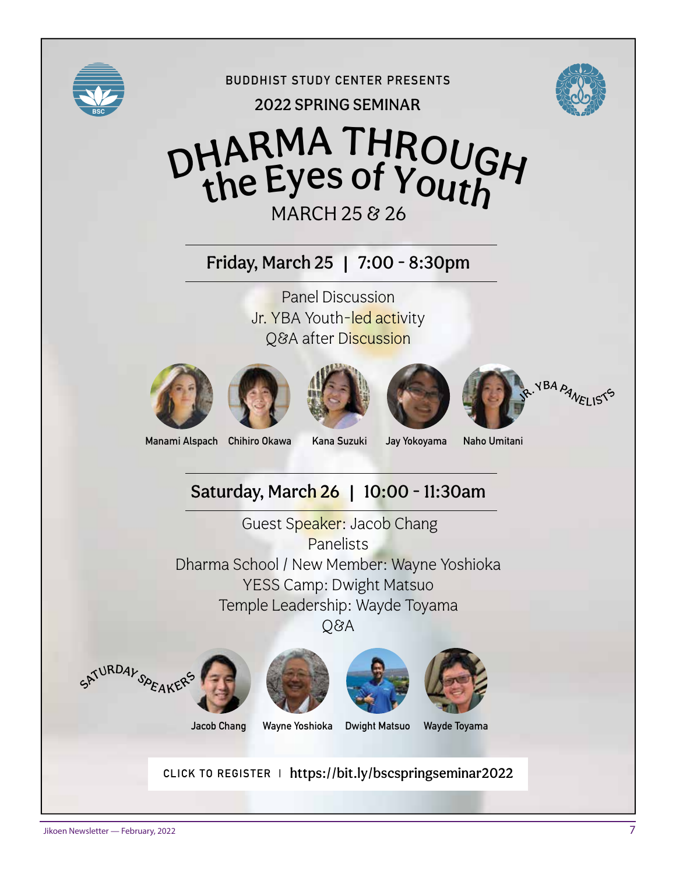

**BUDDHIST STUDY CENTER PRESENTS**

2022 SPRING SEMINAR



## MARCH 25 & 26 DHARMA THROUGH the Eyes of Youth

Friday, March 25 | 7:00 - 8:30pm

Panel Discussion Jr. YBA Youth-led activity Q&A after Discussion













**Manami Alspach Chihiro Okawa Kana Suzuki Jay Yokoyama Naho Umitani**

### Saturday, March 26 | 10:00 - 11:30am

Guest Speaker: Jacob Chang Panelists Dharma School / New Member: Wayne Yoshioka YESS Camp: Dwight Matsuo Temple Leadership: Wayde Toyama Q&A









**Jacob Chang Wayne Yoshioka Dwight Matsuo Wayde Toyama**

**CLICK TO REGISTER |** https://bit.ly/bscspringseminar2022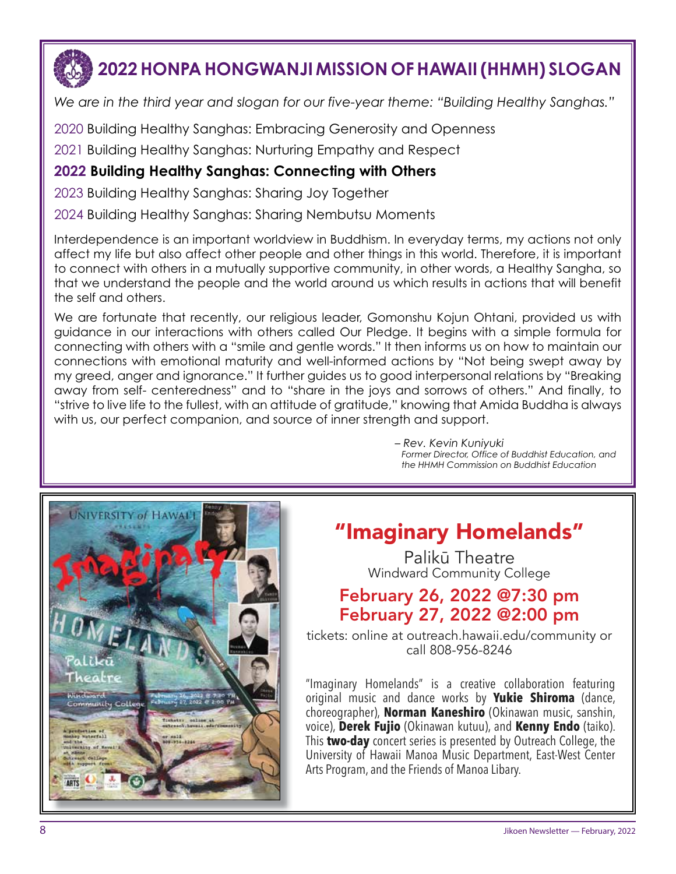# **2022 HONPA HONGWANJI MISSION OF HAWAII (HHMH) SLOGAN**

*We are in the third year and slogan for our five-year theme: "Building Healthy Sanghas."*

2020 Building Healthy Sanghas: Embracing Generosity and Openness

2021 Building Healthy Sanghas: Nurturing Empathy and Respect

#### **2022 Building Healthy Sanghas: Connecting with Others**

2023 Building Healthy Sanghas: Sharing Joy Together

2024 Building Healthy Sanghas: Sharing Nembutsu Moments

Interdependence is an important worldview in Buddhism. In everyday terms, my actions not only affect my life but also affect other people and other things in this world. Therefore, it is important to connect with others in a mutually supportive community, in other words, a Healthy Sangha, so that we understand the people and the world around us which results in actions that will benefit the self and others.

We are fortunate that recently, our religious leader, Gomonshu Kojun Ohtani, provided us with guidance in our interactions with others called Our Pledge. It begins with a simple formula for connecting with others with a "smile and gentle words." It then informs us on how to maintain our connections with emotional maturity and well-informed actions by "Not being swept away by my greed, anger and ignorance." It further guides us to good interpersonal relations by "Breaking away from self- centeredness" and to "share in the joys and sorrows of others." And finally, to "strive to live life to the fullest, with an attitude of gratitude," knowing that Amida Buddha is always with us, our perfect companion, and source of inner strength and support.

> *– Rev. Kevin Kuniyuki Former Director, Office of Buddhist Education, and the HHMH Commission on Buddhist Education*



### "Imaginary Homelands"

Palikū Theatre Windward Community College

### February 26, 2022 @7:30 pm February 27, 2022 @2:00 pm

tickets: online at outreach.hawaii.edu/community or call 808-956-8246

"Imaginary Homelands" is a creative collaboration featuring original music and dance works by **Yukie Shiroma** (dance, choreographer), **Norman Kaneshiro** (Okinawan music, sanshin, voice), **Derek Fujio** (Okinawan kutuu), and **Kenny Endo** (taiko). This **two-day** concert series is presented by Outreach College, the University of Hawaii Manoa Music Department, East-West Center Arts Program, and the Friends of Manoa Libary.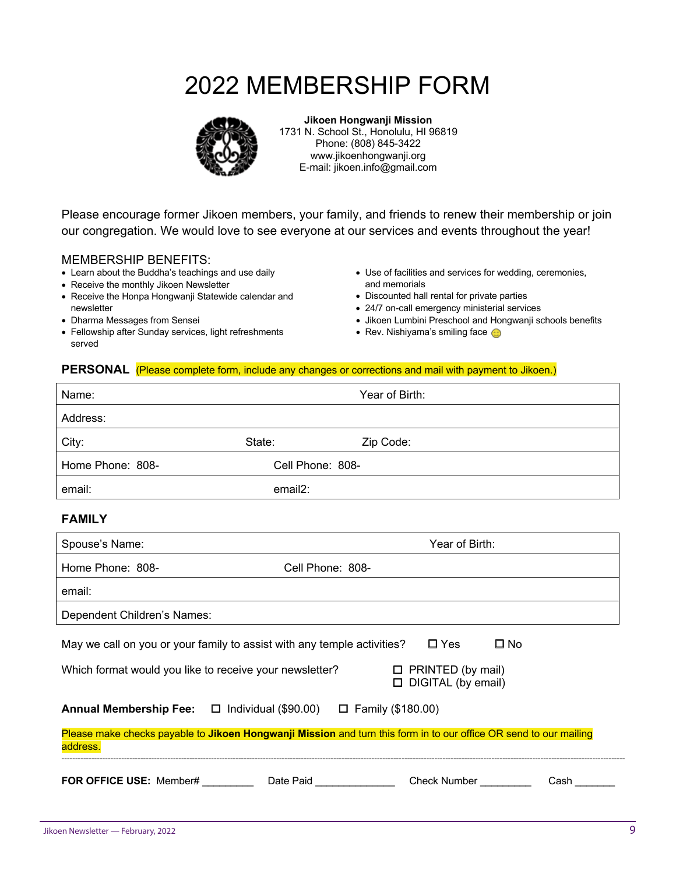### 2022 MEMBERSHIP FORM



**Jikoen Hongwanji Mission** 1731 N. School St., Honolulu, HI 96819 Phone: (808) 845-3422 www.jikoenhongwanji.org E-mail: jikoen.info@gmail.com

Please encourage former Jikoen members, your family, and friends to renew their membership or join our congregation. We would love to see everyone at our services and events throughout the year!

#### MEMBERSHIP BENEFITS:

- Learn about the Buddha's teachings and use daily
- Receive the monthly Jikoen Newsletter
- Receive the Honpa Hongwanji Statewide calendar and newsletter
- Dharma Messages from Sensei
- Fellowship after Sunday services, light refreshments served
- Use of facilities and services for wedding, ceremonies, and memorials
- Discounted hall rental for private parties
- 24/7 on-call emergency ministerial services
- Jikoen Lumbini Preschool and Hongwanji schools benefits
- Rev. Nishiyama's smiling face

#### **PERSONAL** (Please complete form, include any changes or corrections and mail with payment to Jikoen.)

| Name:                                                                                                                         |                                   | Year of Birth: |      |
|-------------------------------------------------------------------------------------------------------------------------------|-----------------------------------|----------------|------|
| Address:                                                                                                                      |                                   |                |      |
| City:                                                                                                                         | State:                            | Zip Code:      |      |
| Home Phone: 808-                                                                                                              | Cell Phone: 808-                  |                |      |
| email:                                                                                                                        | email2:                           |                |      |
| <b>FAMILY</b>                                                                                                                 |                                   |                |      |
| Spouse's Name:                                                                                                                |                                   | Year of Birth: |      |
| Home Phone: 808-                                                                                                              | Cell Phone: 808-                  |                |      |
| email:                                                                                                                        |                                   |                |      |
| Dependent Children's Names:                                                                                                   |                                   |                |      |
| May we call on you or your family to assist with any temple activities?<br>$\Box$ Yes<br>$\square$ No                         |                                   |                |      |
| $\Box$ PRINTED (by mail)<br>Which format would you like to receive your newsletter?<br>DIGITAL (by email)                     |                                   |                |      |
| Annual Membership Fee: □ Individual (\$90.00) □ Family (\$180.00)                                                             |                                   |                |      |
| Please make checks payable to Jikoen Hongwanji Mission and turn this form in to our office OR send to our mailing<br>address. |                                   |                |      |
| <b>FOR OFFICE USE: Member#</b>                                                                                                | Date Paid <b>Date State State</b> | Check Number   | Cash |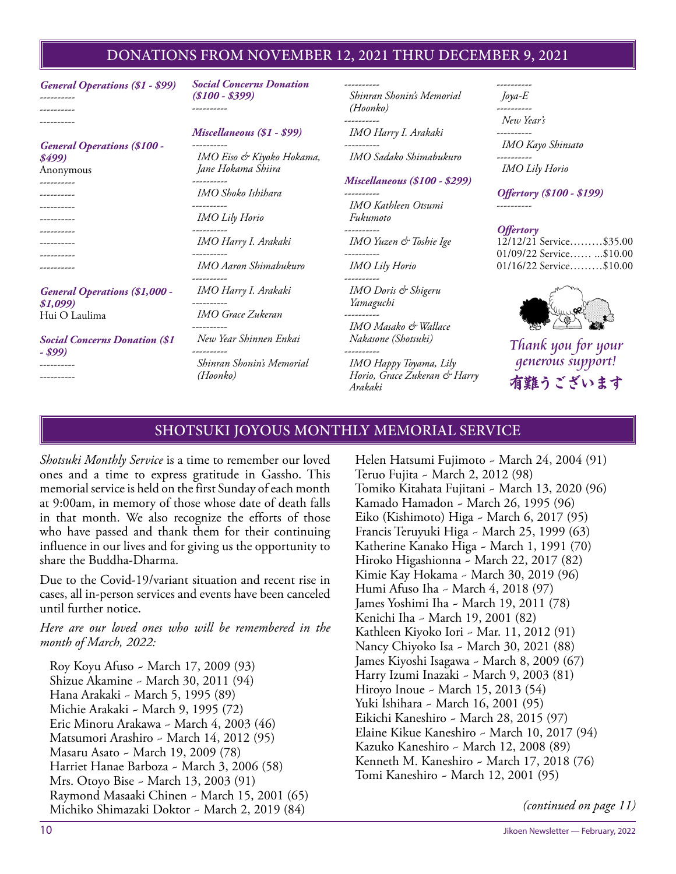#### DONATIONS FROM NOVEMBER 12, 2021 THRU DECEMBER 9, 2021

| <b>General Operations (\$1 - \$99)</b><br>-------- | <b>Social Concerns Donation</b><br>$($100 - $399)$  | ----------<br>Shinran Shonin's Memorial<br>(Hoonko)                             | ---------<br>$Jova-E$                                |
|----------------------------------------------------|-----------------------------------------------------|---------------------------------------------------------------------------------|------------------------------------------------------|
|                                                    |                                                     | -----------                                                                     | New Year's                                           |
| <b>General Operations (\$100 -</b>                 | Miscellaneous (\$1 - \$99)                          | IMO Harry I. Arakaki                                                            | -----------<br>IMO Kayo Shinsato                     |
| \$499)<br>Anonymous                                | IMO Eiso & Kiyoko Hokama,<br>Jane Hokama Shiira     | IMO Sadako Shimabukuro                                                          | ----------<br><b>IMO</b> Lily Horio                  |
| --------<br>---------                              | IMO Shoko Ishihara                                  | <b>Miscellaneous (\$100 - \$299)</b>                                            | <b>Offertory</b> (\$100 - \$199)                     |
| ----------                                         | ----------<br><b>IMO</b> Lily Horio                 | IMO Kathleen Otsumi<br>Fukumoto                                                 |                                                      |
| ----------                                         | IMO Harry I. Arakaki                                | IMO Yuzen & Toshie Ige                                                          | <i><b>Offertory</b></i><br>12/12/21 Service\$35.00   |
| ---------                                          | IMO Aaron Shimabukuro                               | <b>IMO</b> Lily Horio                                                           | 01/09/22 Service  \$10.00<br>01/16/22 Service\$10.00 |
| <b>General Operations (\$1,000 -</b><br>\$1,099    | IMO Harry I. Arakaki<br>----------                  | IMO Doris & Shigeru<br>Yamaguchi                                                |                                                      |
| Hui O Laulima                                      | <b>IMO</b> Grace Zukeran<br>----------              | ----------<br>IMO Masako & Wallace                                              |                                                      |
| <b>Social Concerns Donation (\$1)</b>              | New Year Shinnen Enkai                              | Nakasone (Shotsuki)                                                             | Thank you for your                                   |
| - \$99)<br>---------                               | ----------<br>Shinran Shonin's Memorial<br>(Hoonko) | ----------<br>IMO Happy Toyama, Lily<br>Horio, Grace Zukeran & Harry<br>Arababi | <i>generous support!</i><br>有難うございます                 |

#### SHOTSUKI JOYOUS MONTHLY MEMORIAL SERVICE

*Arakaki*

*Shotsuki Monthly Service* is a time to remember our loved ones and a time to express gratitude in Gassho. This memorial service is held on the first Sunday of each month at 9:00am, in memory of those whose date of death falls in that month. We also recognize the efforts of those who have passed and thank them for their continuing influence in our lives and for giving us the opportunity to share the Buddha-Dharma.

Due to the Covid-19/variant situation and recent rise in cases, all in-person services and events have been canceled until further notice.

*Here are our loved ones who will be remembered in the month of March, 2022:*

Roy Koyu Afuso ~ March 17, 2009 (93) Shizue Akamine ~ March 30, 2011 (94) Hana Arakaki ~ March 5, 1995 (89) Michie Arakaki ~ March 9, 1995 (72) Eric Minoru Arakawa ~ March 4, 2003 (46) Matsumori Arashiro ~ March 14, 2012 (95) Masaru Asato ~ March 19, 2009 (78) Harriet Hanae Barboza ~ March 3, 2006 (58) Mrs. Otoyo Bise ~ March 13, 2003 (91) Raymond Masaaki Chinen ~ March 15, 2001 (65) Michiko Shimazaki Doktor ~ March 2, 2019 (84)

Helen Hatsumi Fujimoto ~ March 24, 2004 (91) Teruo Fujita ~ March 2, 2012 (98) Tomiko Kitahata Fujitani ~ March 13, 2020 (96) Kamado Hamadon ~ March 26, 1995 (96) Eiko (Kishimoto) Higa ~ March 6, 2017 (95) Francis Teruyuki Higa ~ March 25, 1999 (63) Katherine Kanako Higa ~ March 1, 1991 (70) Hiroko Higashionna ~ March 22, 2017 (82) Kimie Kay Hokama ~ March 30, 2019 (96) Humi Afuso Iha ~ March 4, 2018 (97) James Yoshimi Iha ~ March 19, 2011 (78) Kenichi Iha ~ March 19, 2001 (82) Kathleen Kiyoko Iori ~ Mar. 11, 2012 (91) Nancy Chiyoko Isa ~ March 30, 2021 (88) James Kiyoshi Isagawa ~ March 8, 2009 (67) Harry Izumi Inazaki ~ March 9, 2003 (81) Hiroyo Inoue ~ March 15, 2013 (54) Yuki Ishihara ~ March 16, 2001 (95) Eikichi Kaneshiro ~ March 28, 2015 (97) Elaine Kikue Kaneshiro ~ March 10, 2017 (94) Kazuko Kaneshiro ~ March 12, 2008 (89) Kenneth M. Kaneshiro ~ March 17, 2018 (76) Tomi Kaneshiro ~ March 12, 2001 (95)

*(continued on page 11)*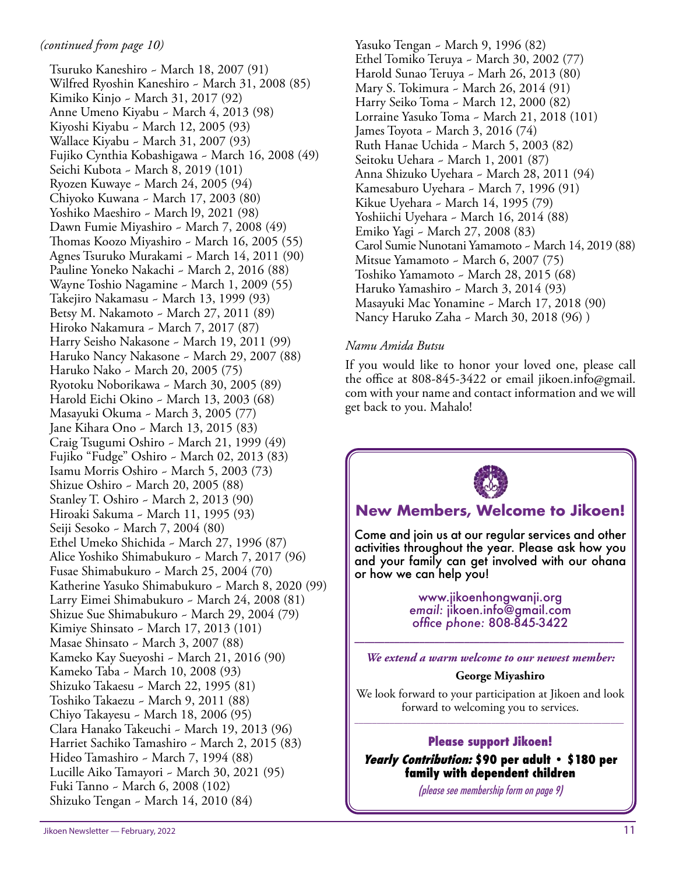Tsuruko Kaneshiro ~ March 18, 2007 (91) Wilfred Ryoshin Kaneshiro ~ March 31, 2008 (85) Kimiko Kinjo ~ March 31, 2017 (92) Anne Umeno Kiyabu ~ March 4, 2013 (98) Kiyoshi Kiyabu ~ March 12, 2005 (93) Wallace Kiyabu ~ March 31, 2007 (93) Fujiko Cynthia Kobashigawa ~ March 16, 2008 (49) Seichi Kubota ~ March 8, 2019 (101) Ryozen Kuwaye ~ March 24, 2005 (94) Chiyoko Kuwana ~ March 17, 2003 (80) Yoshiko Maeshiro ~ March l9, 2021 (98) Dawn Fumie Miyashiro ~ March 7, 2008 (49) Thomas Koozo Miyashiro ~ March 16, 2005 (55) Agnes Tsuruko Murakami ~ March 14, 2011 (90) Pauline Yoneko Nakachi ~ March 2, 2016 (88) Wayne Toshio Nagamine ~ March 1, 2009 (55) Takejiro Nakamasu ~ March 13, 1999 (93) Betsy M. Nakamoto ~ March 27, 2011 (89) Hiroko Nakamura ~ March 7, 2017 (87) Harry Seisho Nakasone ~ March 19, 2011 (99) Haruko Nancy Nakasone ~ March 29, 2007 (88) Haruko Nako ~ March 20, 2005 (75) Ryotoku Noborikawa ~ March 30, 2005 (89) Harold Eichi Okino ~ March 13, 2003 (68) Masayuki Okuma ~ March 3, 2005 (77) Jane Kihara Ono ~ March 13, 2015 (83) Craig Tsugumi Oshiro ~ March 21, 1999 (49) Fujiko "Fudge" Oshiro ~ March 02, 2013 (83) Isamu Morris Oshiro ~ March 5, 2003 (73) Shizue Oshiro ~ March 20, 2005 (88) Stanley T. Oshiro ~ March 2, 2013 (90) Hiroaki Sakuma ~ March 11, 1995 (93) Seiji Sesoko ~ March 7, 2004 (80) Ethel Umeko Shichida ~ March 27, 1996 (87) Alice Yoshiko Shimabukuro ~ March 7, 2017 (96) Fusae Shimabukuro ~ March 25, 2004 (70) Katherine Yasuko Shimabukuro ~ March 8, 2020 (99) Larry Eimei Shimabukuro ~ March 24, 2008 (81) Shizue Sue Shimabukuro ~ March 29, 2004 (79) Kimiye Shinsato ~ March 17, 2013 (101) Masae Shinsato ~ March 3, 2007 (88) Kameko Kay Sueyoshi ~ March 21, 2016 (90) Kameko Taba ~ March 10, 2008 (93) Shizuko Takaesu ~ March 22, 1995 (81) Toshiko Takaezu ~ March 9, 2011 (88) Chiyo Takayesu ~ March 18, 2006 (95) Clara Hanako Takeuchi ~ March 19, 2013 (96) Harriet Sachiko Tamashiro ~ March 2, 2015 (83) Hideo Tamashiro ~ March 7, 1994 (88) Lucille Aiko Tamayori ~ March 30, 2021 (95) Fuki Tanno ~ March 6, 2008 (102) Shizuko Tengan ~ March 14, 2010 (84)

Yasuko Tengan ~ March 9, 1996 (82) Ethel Tomiko Teruya ~ March 30, 2002 (77) Harold Sunao Teruya ~ Marh 26, 2013 (80) Mary S. Tokimura ~ March 26, 2014 (91) Harry Seiko Toma ~ March 12, 2000 (82) Lorraine Yasuko Toma ~ March 21, 2018 (101) James Toyota ~ March 3, 2016 (74) Ruth Hanae Uchida ~ March 5, 2003 (82) Seitoku Uehara ~ March 1, 2001 (87) Anna Shizuko Uyehara ~ March 28, 2011 (94) Kamesaburo Uyehara ~ March 7, 1996 (91) Kikue Uyehara ~ March 14, 1995 (79) Yoshiichi Uyehara ~ March 16, 2014 (88) Emiko Yagi ~ March 27, 2008 (83) Carol Sumie Nunotani Yamamoto ~ March 14, 2019 (88) Mitsue Yamamoto ~ March 6, 2007 (75) Toshiko Yamamoto ~ March 28, 2015 (68) Haruko Yamashiro ~ March 3, 2014 (93) Masayuki Mac Yonamine ~ March 17, 2018 (90) Nancy Haruko Zaha ~ March 30, 2018 (96) )

#### *Namu Amida Butsu*

If you would like to honor your loved one, please call the office at 808-845-3422 or email jikoen.info@gmail. com with your name and contact information and we will get back to you. Mahalo!



#### **New Members, Welcome to Jikoen!**

Come and join us at our regular services and other activities throughout the year. Please ask how you and your family can get involved with our ohana or how we can help you!

> www.jikoenhongwanji.org *email:* jikoen.info@gmail.com *office phone:* 808-845-3422

\_\_\_\_\_\_\_\_\_\_\_\_\_\_\_\_\_\_\_\_\_\_\_\_\_\_\_\_\_\_\_\_\_\_\_\_\_\_\_\_\_\_\_\_\_\_\_\_\_\_\_\_\_\_ *We extend a warm welcome to our newest member:*

#### **George Miyashiro**

We look forward to your participation at Jikoen and look forward to welcoming you to services.  $\frac{1}{2}$  , and the set of the set of the set of the set of the set of the set of the set of the set of the set of the set of the set of the set of the set of the set of the set of the set of the set of the set of the set

#### **Please support Jikoen!**

**Yearly Contribution: \$90 per adult • \$180 per family with dependent children**

(please see membership form on page 9)